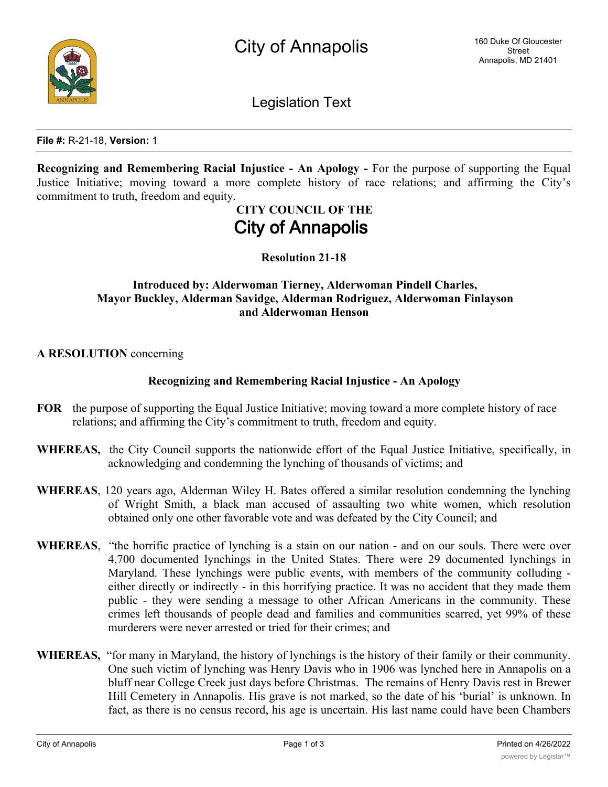

Legislation Text

**File #:** R-21-18, **Version:** 1

**Recognizing and Remembering Racial Injustice - An Apology -** For the purpose of supporting the Equal Justice Initiative; moving toward a more complete history of race relations; and affirming the City's commitment to truth, freedom and equity.

# **CITY COUNCIL OF THE City of Annapolis**

**Resolution 21-18**

## **Introduced by: Alderwoman Tierney, Alderwoman Pindell Charles, Mayor Buckley, Alderman Savidge, Alderman Rodriguez, Alderwoman Finlayson and Alderwoman Henson**

**A RESOLUTION** concerning

## **Recognizing and Remembering Racial Injustice - An Apology**

- **FOR** the purpose of supporting the Equal Justice Initiative; moving toward a more complete history of race relations; and affirming the City's commitment to truth, freedom and equity.
- **WHEREAS,** the City Council supports the nationwide effort of the Equal Justice Initiative, specifically, in acknowledging and condemning the lynching of thousands of victims; and
- **WHEREAS**, 120 years ago, Alderman Wiley H. Bates offered a similar resolution condemning the lynching of Wright Smith, a black man accused of assaulting two white women, which resolution obtained only one other favorable vote and was defeated by the City Council; and
- **WHEREAS**, "the horrific practice of lynching is a stain on our nation and on our souls. There were over 4,700 documented lynchings in the United States. There were 29 documented lynchings in Maryland. These lynchings were public events, with members of the community colluding either directly or indirectly - in this horrifying practice. It was no accident that they made them public - they were sending a message to other African Americans in the community. These crimes left thousands of people dead and families and communities scarred, yet 99% of these murderers were never arrested or tried for their crimes; and
- **WHEREAS,** "for many in Maryland, the history of lynchings is the history of their family or their community. One such victim of lynching was Henry Davis who in 1906 was lynched here in Annapolis on a bluff near College Creek just days before Christmas. The remains of Henry Davis rest in Brewer Hill Cemetery in Annapolis. His grave is not marked, so the date of his 'burial' is unknown. In fact, as there is no census record, his age is uncertain. His last name could have been Chambers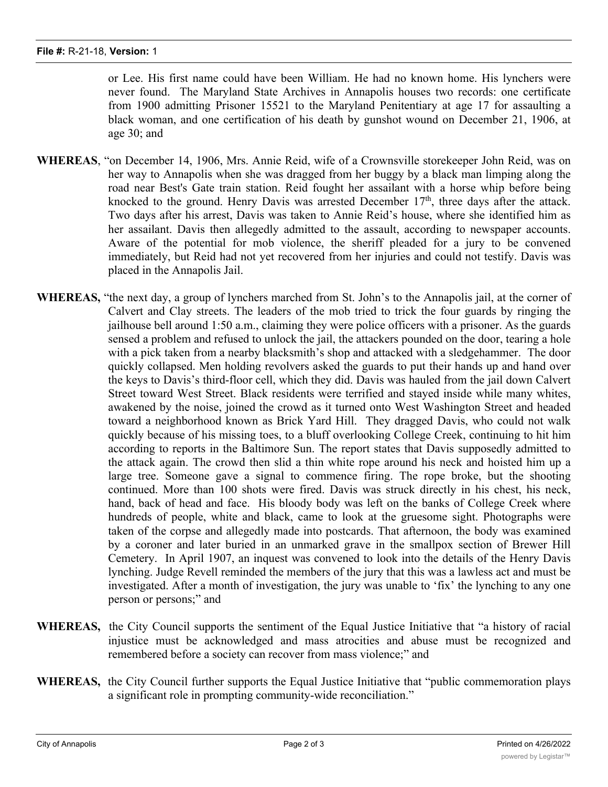or Lee. His first name could have been William. He had no known home. His lynchers were never found. The Maryland State Archives in Annapolis houses two records: one certificate from 1900 admitting Prisoner 15521 to the Maryland Penitentiary at age 17 for assaulting a black woman, and one certification of his death by gunshot wound on December 21, 1906, at age 30; and

- **WHEREAS**, "on December 14, 1906, Mrs. Annie Reid, wife of a Crownsville storekeeper John Reid, was on her way to Annapolis when she was dragged from her buggy by a black man limping along the road near Best's Gate train station. Reid fought her assailant with a horse whip before being knocked to the ground. Henry Davis was arrested December  $17<sup>th</sup>$ , three days after the attack. Two days after his arrest, Davis was taken to Annie Reid's house, where she identified him as her assailant. Davis then allegedly admitted to the assault, according to newspaper accounts. Aware of the potential for mob violence, the sheriff pleaded for a jury to be convened immediately, but Reid had not yet recovered from her injuries and could not testify. Davis was placed in the Annapolis Jail.
- **WHEREAS,** "the next day, a group of lynchers marched from St. John's to the Annapolis jail, at the corner of Calvert and Clay streets. The leaders of the mob tried to trick the four guards by ringing the jailhouse bell around 1:50 a.m., claiming they were police officers with a prisoner. As the guards sensed a problem and refused to unlock the jail, the attackers pounded on the door, tearing a hole with a pick taken from a nearby blacksmith's shop and attacked with a sledgehammer. The door quickly collapsed. Men holding revolvers asked the guards to put their hands up and hand over the keys to Davis's third-floor cell, which they did. Davis was hauled from the jail down Calvert Street toward West Street. Black residents were terrified and stayed inside while many whites, awakened by the noise, joined the crowd as it turned onto West Washington Street and headed toward a neighborhood known as Brick Yard Hill. They dragged Davis, who could not walk quickly because of his missing toes, to a bluff overlooking College Creek, continuing to hit him according to reports in the Baltimore Sun. The report states that Davis supposedly admitted to the attack again. The crowd then slid a thin white rope around his neck and hoisted him up a large tree. Someone gave a signal to commence firing. The rope broke, but the shooting continued. More than 100 shots were fired. Davis was struck directly in his chest, his neck, hand, back of head and face. His bloody body was left on the banks of College Creek where hundreds of people, white and black, came to look at the gruesome sight. Photographs were taken of the corpse and allegedly made into postcards. That afternoon, the body was examined by a coroner and later buried in an unmarked grave in the smallpox section of Brewer Hill Cemetery. In April 1907, an inquest was convened to look into the details of the Henry Davis lynching. Judge Revell reminded the members of the jury that this was a lawless act and must be investigated. After a month of investigation, the jury was unable to 'fix' the lynching to any one person or persons;" and
- **WHEREAS,** the City Council supports the sentiment of the Equal Justice Initiative that "a history of racial injustice must be acknowledged and mass atrocities and abuse must be recognized and remembered before a society can recover from mass violence;" and
- **WHEREAS,** the City Council further supports the Equal Justice Initiative that "public commemoration plays a significant role in prompting community-wide reconciliation."